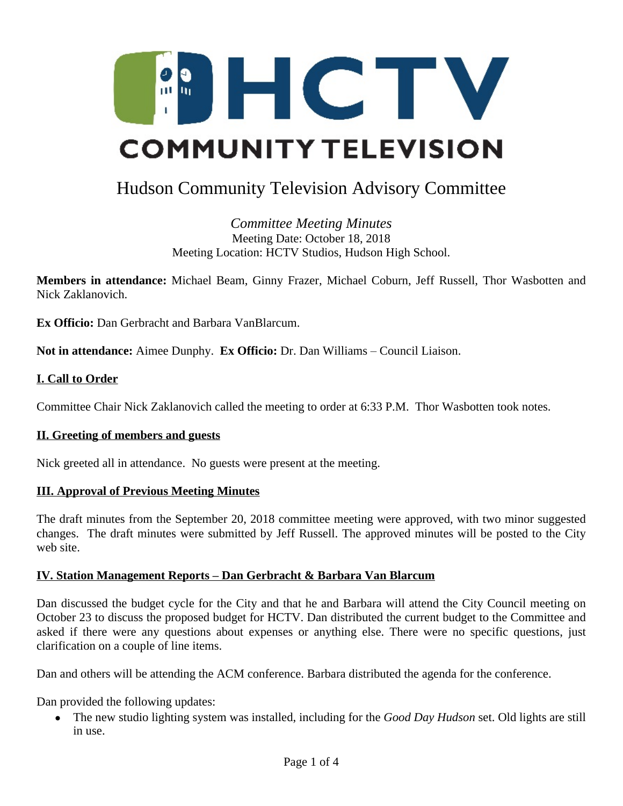

# Hudson Community Television Advisory Committee

*Committee Meeting Minutes* Meeting Date: October 18, 2018 Meeting Location: HCTV Studios, Hudson High School.

**Members in attendance:** Michael Beam, Ginny Frazer, Michael Coburn, Jeff Russell, Thor Wasbotten and Nick Zaklanovich.

**Ex Officio:** Dan Gerbracht and Barbara VanBlarcum.

**Not in attendance:** Aimee Dunphy. **Ex Officio:** Dr. Dan Williams – Council Liaison.

### **I. Call to Order**

Committee Chair Nick Zaklanovich called the meeting to order at 6:33 P.M. Thor Wasbotten took notes.

#### **II. Greeting of members and guests**

Nick greeted all in attendance. No guests were present at the meeting.

#### **III. Approval of Previous Meeting Minutes**

The draft minutes from the September 20, 2018 committee meeting were approved, with two minor suggested changes. The draft minutes were submitted by Jeff Russell. The approved minutes will be posted to the City web site.

#### **IV. Station Management Reports – Dan Gerbracht & Barbara Van Blarcum**

Dan discussed the budget cycle for the City and that he and Barbara will attend the City Council meeting on October 23 to discuss the proposed budget for HCTV. Dan distributed the current budget to the Committee and asked if there were any questions about expenses or anything else. There were no specific questions, just clarification on a couple of line items.

Dan and others will be attending the ACM conference. Barbara distributed the agenda for the conference.

Dan provided the following updates:

 The new studio lighting system was installed, including for the *Good Day Hudson* set. Old lights are still in use.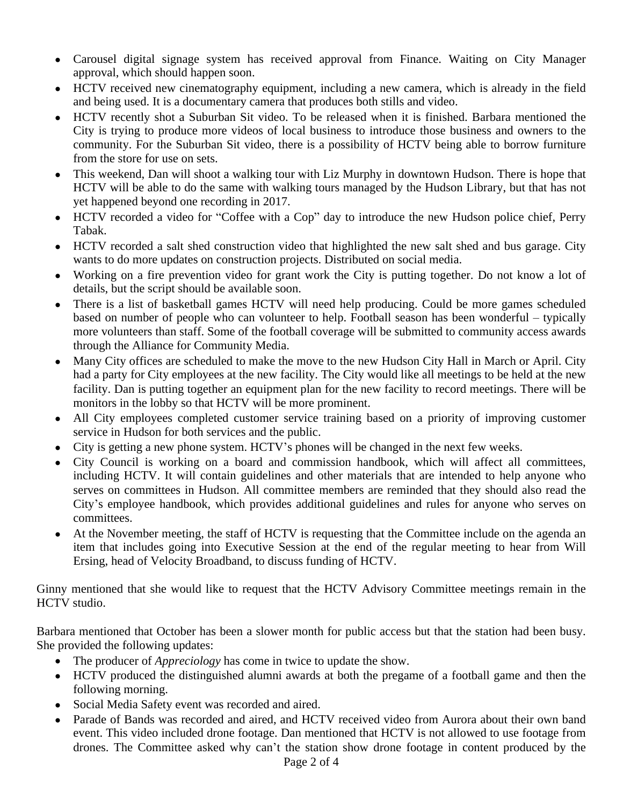- Carousel digital signage system has received approval from Finance. Waiting on City Manager approval, which should happen soon.
- HCTV received new cinematography equipment, including a new camera, which is already in the field and being used. It is a documentary camera that produces both stills and video.
- HCTV recently shot a Suburban Sit video. To be released when it is finished. Barbara mentioned the City is trying to produce more videos of local business to introduce those business and owners to the community. For the Suburban Sit video, there is a possibility of HCTV being able to borrow furniture from the store for use on sets.
- This weekend, Dan will shoot a walking tour with Liz Murphy in downtown Hudson. There is hope that HCTV will be able to do the same with walking tours managed by the Hudson Library, but that has not yet happened beyond one recording in 2017.
- HCTV recorded a video for "Coffee with a Cop" day to introduce the new Hudson police chief, Perry Tabak.
- HCTV recorded a salt shed construction video that highlighted the new salt shed and bus garage. City wants to do more updates on construction projects. Distributed on social media.
- Working on a fire prevention video for grant work the City is putting together. Do not know a lot of details, but the script should be available soon.
- There is a list of basketball games HCTV will need help producing. Could be more games scheduled based on number of people who can volunteer to help. Football season has been wonderful – typically more volunteers than staff. Some of the football coverage will be submitted to community access awards through the Alliance for Community Media.
- Many City offices are scheduled to make the move to the new Hudson City Hall in March or April. City had a party for City employees at the new facility. The City would like all meetings to be held at the new facility. Dan is putting together an equipment plan for the new facility to record meetings. There will be monitors in the lobby so that HCTV will be more prominent.
- All City employees completed customer service training based on a priority of improving customer service in Hudson for both services and the public.
- City is getting a new phone system. HCTV's phones will be changed in the next few weeks.
- City Council is working on a board and commission handbook, which will affect all committees, including HCTV. It will contain guidelines and other materials that are intended to help anyone who serves on committees in Hudson. All committee members are reminded that they should also read the City's employee handbook, which provides additional guidelines and rules for anyone who serves on committees.
- At the November meeting, the staff of HCTV is requesting that the Committee include on the agenda an item that includes going into Executive Session at the end of the regular meeting to hear from Will Ersing, head of Velocity Broadband, to discuss funding of HCTV.

Ginny mentioned that she would like to request that the HCTV Advisory Committee meetings remain in the HCTV studio.

Barbara mentioned that October has been a slower month for public access but that the station had been busy. She provided the following updates:

- The producer of *Appreciology* has come in twice to update the show.
- HCTV produced the distinguished alumni awards at both the pregame of a football game and then the following morning.
- Social Media Safety event was recorded and aired.
- Parade of Bands was recorded and aired, and HCTV received video from Aurora about their own band event. This video included drone footage. Dan mentioned that HCTV is not allowed to use footage from drones. The Committee asked why can't the station show drone footage in content produced by the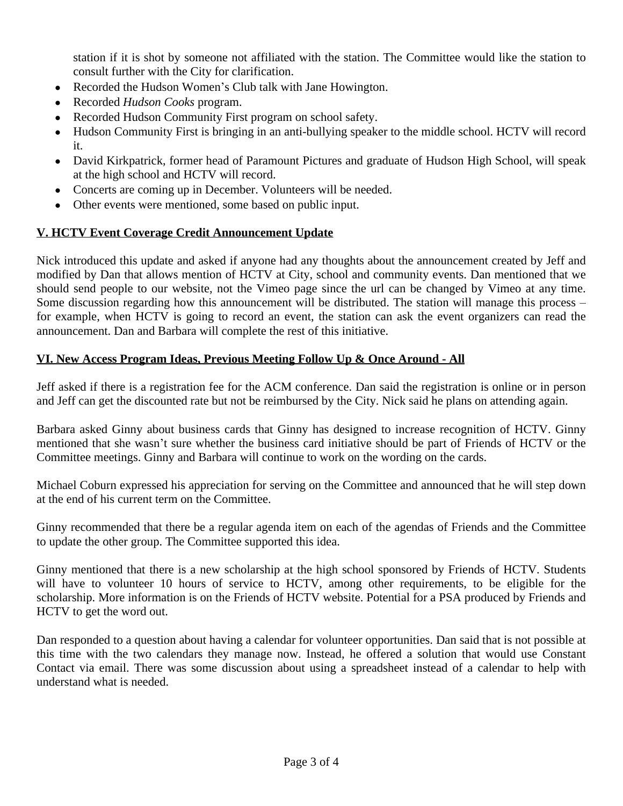station if it is shot by someone not affiliated with the station. The Committee would like the station to consult further with the City for clarification.

- Recorded the Hudson Women's Club talk with Jane Howington.
- Recorded *Hudson Cooks* program.
- Recorded Hudson Community First program on school safety.
- Hudson Community First is bringing in an anti-bullying speaker to the middle school. HCTV will record it.
- David Kirkpatrick, former head of Paramount Pictures and graduate of Hudson High School, will speak at the high school and HCTV will record.
- Concerts are coming up in December. Volunteers will be needed.
- Other events were mentioned, some based on public input.

## **V. HCTV Event Coverage Credit Announcement Update**

Nick introduced this update and asked if anyone had any thoughts about the announcement created by Jeff and modified by Dan that allows mention of HCTV at City, school and community events. Dan mentioned that we should send people to our website, not the Vimeo page since the url can be changed by Vimeo at any time. Some discussion regarding how this announcement will be distributed. The station will manage this process – for example, when HCTV is going to record an event, the station can ask the event organizers can read the announcement. Dan and Barbara will complete the rest of this initiative.

## **VI. New Access Program Ideas, Previous Meeting Follow Up & Once Around - All**

Jeff asked if there is a registration fee for the ACM conference. Dan said the registration is online or in person and Jeff can get the discounted rate but not be reimbursed by the City. Nick said he plans on attending again.

Barbara asked Ginny about business cards that Ginny has designed to increase recognition of HCTV. Ginny mentioned that she wasn't sure whether the business card initiative should be part of Friends of HCTV or the Committee meetings. Ginny and Barbara will continue to work on the wording on the cards.

Michael Coburn expressed his appreciation for serving on the Committee and announced that he will step down at the end of his current term on the Committee.

Ginny recommended that there be a regular agenda item on each of the agendas of Friends and the Committee to update the other group. The Committee supported this idea.

Ginny mentioned that there is a new scholarship at the high school sponsored by Friends of HCTV. Students will have to volunteer 10 hours of service to HCTV, among other requirements, to be eligible for the scholarship. More information is on the Friends of HCTV website. Potential for a PSA produced by Friends and HCTV to get the word out.

Dan responded to a question about having a calendar for volunteer opportunities. Dan said that is not possible at this time with the two calendars they manage now. Instead, he offered a solution that would use Constant Contact via email. There was some discussion about using a spreadsheet instead of a calendar to help with understand what is needed.